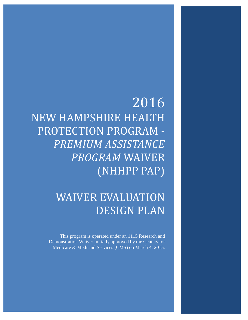# 2016 NEW HAMPSHIRE HEALTH PROTECTION PROGRAM - *PREMIUM ASSISTANCE PROGRAM* WAIVER (NHHPP PAP)

# WAIVER EVALUATION DESIGN PLAN

This program is operated under an 1115 Research and Demonstration Waiver initially approved by the Centers for Medicare & Medicaid Services (CMS) on March 4, 2015.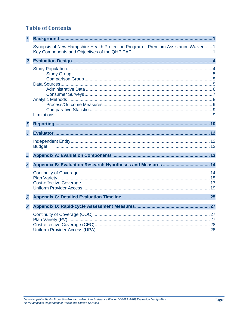# **Table of Contents**

| $\mathcal{I}$  |                                                                                    |
|----------------|------------------------------------------------------------------------------------|
|                | Synopsis of New Hampshire Health Protection Program - Premium Assistance Waiver  1 |
| $\overline{z}$ |                                                                                    |
|                |                                                                                    |
| 3.             |                                                                                    |
| 4.             |                                                                                    |
|                | <b>Budget</b>                                                                      |
| 5.             |                                                                                    |
| 6.             |                                                                                    |
|                |                                                                                    |
| 7.             |                                                                                    |
| 8.             |                                                                                    |
|                |                                                                                    |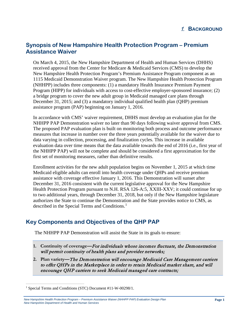# <span id="page-2-1"></span><span id="page-2-0"></span>**Synopsis of New Hampshire Health Protection Program – Premium Assistance Waiver**

On March 4, 2015, the New Hampshire Department of Health and Human Services (DHHS) received approval from the Center for Medicare & Medicaid Services (CMS) to develop the New Hampshire Health Protection Program's Premium Assistance Program component as an 1115 Medicaid Demonstration Waiver program. The New Hampshire Health Protection Program (NHHPP) includes three components: (1) a mandatory Health Insurance Premium Payment Program (HIPP) for individuals with access to cost-effective employer-sponsored insurance; (2) a bridge program to cover the new adult group in Medicaid managed care plans through December 31, 2015; and (3) a mandatory individual qualified health plan (QHP) premium assistance program (PAP) beginning on January 1, 2016.

In accordance with CMS' waiver requirement, DHHS must develop an evaluation plan for the NHHPP PAP Demonstration waiver no later than 90 days following waiver approval from CMS. The proposed PAP evaluation plan is built on monitoring both process and outcome performance measures that increase in number over the three years potentially available for the waiver due to data varying in collection, processing, and finalization cycles. This increase in available evaluation data over time means that the data available towards the end of 2016 (i.e., first year of the NHHPP PAP) will not be complete and should be considered a first approximation for the first set of monitoring measures, rather than definitive results.

Enrollment activities for the new adult population begins on November 1, 2015 at which time Medicaid eligible adults can enroll into health coverage under QHPs and receive premium assistance with coverage effective January 1, 2016. This Demonstration will sunset after December 31, 2016 consistent with the current legislative approval for the New Hampshire Health Protection Program pursuant to N.H. RSA 126-A:5, XXIII-XXV; it could continue for up to two additional years, through December 31, 2018, but only if the New Hampshire legislature authorizes the State to continue the Demonstration and the State provides notice to CMS, as described in the Special Terms and Conditions.<sup>[1](#page-2-3)</sup>

# <span id="page-2-2"></span>**Key Components and Objectives of the QHP PAP**

The NHHPP PAP Demonstration will assist the State in its goals to ensure:

- **1. Continuity of coverage—**For individuals whose incomes fluctuate, the Demonstration will permit continuity of health plans and provider networks;
- **2. Plan variety—**The Demonstration will encourage Medicaid Care Management carriers to offer QHPs in the Marketplace in order to retain Medicaid market share, and will encourage QHP carriers to seek Medicaid managed care contracts;

<span id="page-2-3"></span> <sup>1</sup> Special Terms and Conditions (STC) Document #11-W-00298/1.

*New Hampshire Health Protection Program – Premium Assistance Waiver (NHHPP PAP) Evaluation Design Plan New Hampshire Department of Health and Human Services*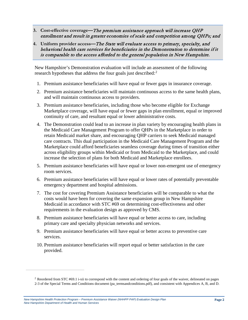- **3. Cost-effective coverage—**The premium assistance approach will increase QHP enrollment and result in greater economies of scale and competition among QHPs; and
- **4. Uniform provider access—**The State will evaluate access to primary, specialty, and behavioral health care services for beneficiaries in the Demonstration to determine if it is comparable to the access afforded to the general population in New Hampshire.

New Hampshire's Demonstration evaluation will include an assessment of the following research hypotheses that address the four goals just described:<sup>[2](#page-3-0)</sup>

- 1. Premium assistance beneficiaries will have equal or fewer gaps in insurance coverage.
- 2. Premium assistance beneficiaries will maintain continuous access to the same health plans, and will maintain continuous access to providers.
- 3. Premium assistance beneficiaries, including those who become eligible for Exchange Marketplace coverage, will have equal or fewer gaps in plan enrollment, equal or improved continuity of care, and resultant equal or lower administrative costs.
- 4. The Demonstration could lead to an increase in plan variety by encouraging health plans in the Medicaid Care Management Program to offer QHPs in the Marketplace in order to retain Medicaid market share, and encouraging QHP carriers to seek Medicaid managed care contracts. This dual participation in the Medicaid Care Management Program and the Marketplace could afford beneficiaries seamless coverage during times of transition either across eligibility groups within Medicaid or from Medicaid to the Marketplace, and could increase the selection of plans for both Medicaid and Marketplace enrollees.
- 5. Premium assistance beneficiaries will have equal or lower non-emergent use of emergency room services.
- 6. Premium assistance beneficiaries will have equal or lower rates of potentially preventable emergency department and hospital admissions.
- 7. The cost for covering Premium Assistance beneficiaries will be comparable to what the costs would have been for covering the same expansion group in New Hampshire Medicaid in accordance with STC #69 on determining cost-effectiveness and other requirements in the evaluation design as approved by CMS.
- 8. Premium assistance beneficiaries will have equal or better access to care, including primary care and specialty physician networks and services.
- 9. Premium assistance beneficiaries will have equal or better access to preventive care services.
- 10. Premium assistance beneficiaries will report equal or better satisfaction in the care provided.

<span id="page-3-0"></span> $\overline{a}$ 

<sup>&</sup>lt;sup>2</sup> Reordered from STC #69.1 i-xii to correspond with the content and ordering of four goals of the waiver, delineated on pages 2-3 of the Special Terms and Conditions document (pa\_termsandconditions.pdf), and consistent with Appendices A, B, and D.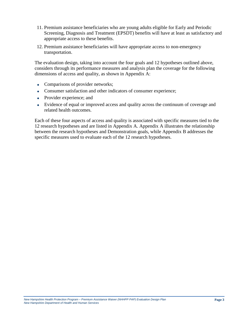- 11. Premium assistance beneficiaries who are young adults eligible for Early and Periodic Screening, Diagnosis and Treatment (EPSDT) benefits will have at least as satisfactory and appropriate access to these benefits.
- 12. Premium assistance beneficiaries will have appropriate access to non-emergency transportation.

The evaluation design, taking into account the four goals and 12 hypotheses outlined above, considers through its performance measures and analysis plan the coverage for the following dimensions of access and quality, as shown in Appendix A:

- Comparisons of provider networks;
- Consumer satisfaction and other indicators of consumer experience;
- Provider experience; and
- Evidence of equal or improved access and quality across the continuum of coverage and related health outcomes.

Each of these four aspects of access and quality is associated with specific measures tied to the 12 research hypotheses and are listed in Appendix A. Appendix A illustrates the relationship between the research hypotheses and Demonstration goals, while Appendix B addresses the specific measures used to evaluate each of the 12 research hypotheses.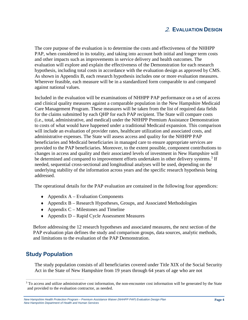## 2. **EVALUATION DESIGN**

<span id="page-5-0"></span>The core purpose of the evaluation is to determine the costs and effectiveness of the NHHPP PAP, when considered in its totality, and taking into account both initial and longer term costs and other impacts such as improvements in service delivery and health outcomes. The evaluation will explore and explain the effectiveness of the Demonstration for each research hypothesis, including total costs in accordance with the evaluation design as approved by CMS. As shown in Appendix B, each research hypothesis includes one or more evaluation measures. Wherever feasible, each measure will be in a standardized form comparable to and compared against national values.

Included in the evaluation will be examinations of NHHPP PAP performance on a set of access and clinical quality measures against a comparable population in the New Hampshire Medicaid Care Management Program. These measures will be taken from the list of required data fields for the claims submitted by each QHP for each PAP recipient. The State will compare costs (i.e., total, administrative, and medical) under the NHHPP Premium Assistance Demonstration to costs of what would have happened under a traditional Medicaid expansion. This comparison will include an evaluation of provider rates, healthcare utilization and associated costs, and administrative expenses. The State will assess access and quality for the NHHPP PAP beneficiaries and Medicaid beneficiaries in managed care to ensure appropriate services are provided to the PAP beneficiaries. Moreover, to the extent possible, component contributions to changes in access and quality and their associated levels of investment in New Hampshire will be determined and compared to improvement efforts undertaken in other delivery systems.<sup>[3](#page-5-2)</sup> If needed, sequential cross-sectional and longitudinal analyses will be used, depending on the underlying stability of the information across years and the specific research hypothesis being addressed.

The operational details for the PAP evaluation are contained in the following four appendices:

- $\triangle$  Appendix A Evaluation Components
- ♦ Appendix B Research Hypotheses, Groups, and Associated Methodologies
- $\triangle$  Appendix C Milestones and Timeline
- ♦ Appendix D Rapid Cycle Assessment Measures

Before addressing the 12 research hypotheses and associated measures, the next section of the PAP evaluation plan defines the study and comparison groups, data sources, analytic methods, and limitations to the evaluation of the PAP Demonstration.

# <span id="page-5-1"></span>**Study Population**

The study population consists of all beneficiaries covered under Title XIX of the Social Security Act in the State of New Hampshire from 19 years through 64 years of age who are not

<span id="page-5-2"></span><sup>&</sup>lt;sup>3</sup> To access and utilize administrative cost information, the non-encounter cost information will be generated by the State and provided to the evaluation contractor, as needed.

*New Hampshire Health Protection Program – Premium Assistance Waiver (NHHPP PAP) Evaluation Design Plan New Hampshire Department of Health and Human Services*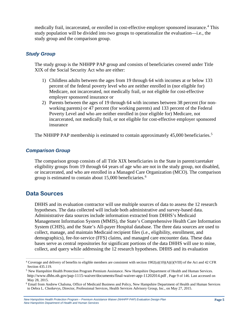medically frail, incarcerated, or enrolled in cost-effective employer sponsored insurance. [4](#page-6-3) This study population will be divided into two groups to operationalize the evaluation—i.e., the study group and the comparison group.

#### <span id="page-6-0"></span>*Study Group*

The study group is the NHHPP PAP group and consists of beneficiaries covered under Title XIX of the Social Security Act who are either:

- 1) Childless adults between the ages from 19 through 64 with incomes at or below 133 percent of the federal poverty level who are neither enrolled in (nor eligible for) Medicare, not incarcerated, not medically frail, or not eligible for cost-effective employer sponsored insurance or
- 2) Parents between the ages of 19 through 64 with incomes between 38 percent (for nonworking parents) or 47 percent (for working parents) and 133 percent of the Federal Poverty Level and who are neither enrolled in (nor eligible for) Medicare, not incarcerated, not medically frail, or not eligible for cost-effective employer sponsored insurance

The NHHPP PAP membership is estimated to contain approximately 4[5](#page-6-4),000 beneficiaries.<sup>5</sup>

#### <span id="page-6-1"></span>*Comparison Group*

The comparison group consists of all Title XIX beneficiaries in the State in parent/caretaker eligibility groups from 19 through 64 years of age who are not in the study group, not disabled, or incarcerated, and who are enrolled in a Managed Care Organization (MCO). The comparison group is estimated to contain about 15,000 beneficiaries.<sup>[6](#page-6-5)</sup>

# <span id="page-6-2"></span>**Data Sources**

DHHS and its evaluation contractor will use multiple sources of data to assess the 12 research hypotheses. The data collected will include both administrative and survey-based data. Administrative data sources include information extracted from DHHS's Medicaid Management Information System (MMIS), the State's Comprehensive Health Care Information System (CHIS), and the State's All-payer Hospital database. The three data sources are used to collect, manage, and maintain Medicaid recipient files (i.e., eligibility, enrollment, and demographics), fee-for-service (FFS) claims, and managed care encounter data. These data bases serve as central repositories for significant portions of the data DHHS will use to mine, collect, and query while addressing the 12 research hypotheses. DHHS and its evaluation

<span id="page-6-3"></span> <sup>4</sup> Coverage and delivery of benefits to eligible members are consistent with section 1902(a)(10)(A)(i)(VIII) of the Act and 42 CFR Section 435.119.

<span id="page-6-4"></span><sup>5</sup> New Hampshire Health Protection Program Premium Assistance. New Hampshire Department of Health and Human Services. http://www.dhhs.nh.gov/pap-1115-waiver/documents/final-waiver-app-11202014.pdf , Page 9 of 146. Last accessed on May 28, 2015.

<span id="page-6-5"></span><sup>6</sup> Email from Andrew Chalsma, Office of Medicaid Business and Policy, New Hampshire Department of Health and Human Services to Debra L. Chotkevys, Director, Professional Services, Health Services Advisory Group, Inc., on May 27, 2015.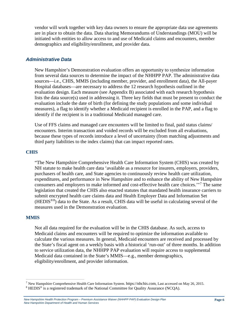vendor will work together with key data owners to ensure the appropriate data use agreements are in place to obtain the data. Data sharing Memorandums of Understandings (MOU) will be initiated with entities to allow access to and use of Medicaid claims and encounters, member demographics and eligibility/enrollment, and provider data.

#### <span id="page-7-0"></span>*Administrative Data*

New Hampshire's Demonstration evaluation offers an opportunity to synthesize information from several data sources to determine the impact of the NHHPP PAP. The administrative data sources—i.e., CHIS, MMIS (including member, provider, and enrollment data), the All-payer Hospital databases—are necessary to address the 12 research hypothesis outlined in the evaluation design. Each measure (see Appendix B) associated with each research hypothesis lists the data source(s) used in addressing it. Three key fields that must be present to conduct the evaluation include the date of birth (for defining the study populations and some individual measures), a flag to identify whether a Medicaid recipient is enrolled in the PAP, and a flag to identify if the recipient is in a traditional Medicaid managed care.

Use of FFS claims and managed care encounters will be limited to final, paid status claims/ encounters. Interim transaction and voided records will be excluded from all evaluations, because these types of records introduce a level of uncertainty (from matching adjustments and third party liabilities to the index claims) that can impact reported rates.

#### **CHIS**

"The New Hampshire Comprehensive Health Care Information System (CHIS) was created by NH statute to make health care data 'available as a resource for insurers, employers, providers, purchasers of health care, and State agencies to continuously review health care utilization, expenditures, and performance in New Hampshire and to enhance the ability of New Hampshire consumers and employers to make informed and cost-effective health care choices.'"[7](#page-7-1) The same legislation that created the CHIS also enacted statutes that mandated health insurance carriers to submit encrypted health care claims data and Health Employer Data and Information Set  $(HEDIS<sup>®8</sup>)$  $(HEDIS<sup>®8</sup>)$  $(HEDIS<sup>®8</sup>)$  data to the State. As a result, CHIS data will be useful in calculating several of the measures used in the Demonstration evaluation.

#### **MMIS**

Not all data required for the evaluation will be in the CHIS database. As such, access to Medicaid claims and encounters will be required to optimize the information available to calculate the various measures. In general, Medicaid encounters are received and processed by the State's fiscal agent on a weekly basis with a historical 'run-out' of three months. In addition to service utilization data, the NHHPP PAP evaluation will require access to supplemental Medicaid data contained in the State's MMIS—e.g., member demographics, eligibility/enrollment, and provider information.

<span id="page-7-2"></span><span id="page-7-1"></span><sup>&</sup>lt;sup>7</sup> New Hampshire Comprehensive Health Care Information System. https://nhchis.com, Last accessed on May 26, 2015. <sup>8</sup> HEDIS<sup>®</sup> is a registered trademark of the National Committee for Quality Assurance (NCQA).

*New Hampshire Health Protection Program – Premium Assistance Waiver (NHHPP PAP) Evaluation Design Plan New Hampshire Department of Health and Human Services*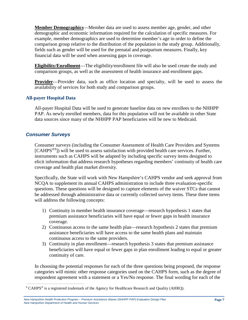**Member Demographics**—Member data are used to assess member age, gender, and other demographic and economic information required for the calculation of specific measures. For example, member demographics are used to determine member's age in order to define the comparison group relative to the distribution of the population in the study group. Additionally, fields such as gender will be used for the prenatal and postpartum measures. Finally, key financial data will be used when assessing gaps in coverage.

**Eligibility/Enrollment**—The eligibility/enrollment file will also be used create the study and comparison groups, as well as the assessment of health insurance and enrollment gaps.

**Provider**—Provider data, such as office location and specialty, will be used to assess the availability of services for both study and comparison groups.

#### **All-payer Hospital Data**

All-payer Hospital Data will be used to generate baseline data on new enrollees to the NHHPP PAP. As newly enrolled members, data for this population will not be available in other State data sources since many of the NHHPP PAP beneficiaries will be new to Medicaid.

#### <span id="page-8-0"></span>*Consumer Surveys*

Consumer surveys (including the Consumer Assessment of Health Care Providers and Systems [CAHPS<sup>®[9](#page-8-1)</sup>]) will be used to assess satisfaction with provided health care services. Further, instruments such as CAHPS will be adapted by including specific survey items designed to elicit information that address research hypotheses regarding members' continuity of health care coverage and health plan market diversity.

Specifically, the State will work with New Hampshire's CAHPS vendor and seek approval from NCQA to supplement its annual CAHPS administration to include three evaluation-specific questions. These questions will be designed to capture elements of the waiver STCs that cannot be addressed through administrative data or currently collected survey items. These three items will address the following concepts:

- 1) Continuity in member health insurance coverage—research hypothesis 1 states that premium assistance beneficiaries will have equal or fewer gaps in health insurance coverage.
- 2) Continuous access to the same health plan—research hypothesis 2 states that premium assistance beneficiaries will have access to the same health plans and maintain continuous access to the same providers.
- 3) Continuity in plan enrollment—research hypothesis 3 states that premium assistance beneficiaries will have equal or fewer gaps in plan enrollment leading to equal or greater continuity of care.

In choosing the potential responses for each of the three questions being proposed, the response categories will mimic other response categories used on the CAHPS form, such as the degree of respondent agreement with a statement or a Yes/No response. The final wording for each of the

<span id="page-8-1"></span> <sup>9</sup> CAHPS® is a registered trademark of the Agency for Healthcare Research and Quality (AHRQ).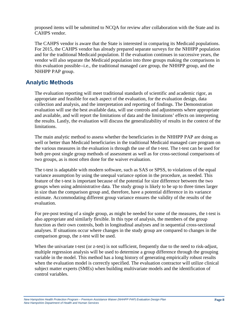proposed items will be submitted to NCQA for review after collaboration with the State and its CAHPS vendor.

The CAHPS vendor is aware that the State is interested in comparing its Medicaid populations. For 2015, the CAHPS vendor has already prepared separate surveys for the NHHPP population and for the traditional Medicaid population. If the evaluation continues in successive years, the vendor will also separate the Medicaid population into three groups making the comparisons in this evaluation possible--i.e., the traditional managed care group, the NHHPP group, and the NHHPP PAP group.

## <span id="page-9-0"></span>**Analytic Methods**

The evaluation reporting will meet traditional standards of scientific and academic rigor, as appropriate and feasible for each aspect of the evaluation, for the evaluation design, data collection and analysis, and the interpretation and reporting of findings. The Demonstration evaluation will use the best available data, will use controls and adjustments where appropriate and available, and will report the limitations of data and the limitations' effects on interpreting the results. Lastly, the evaluation will discuss the generalizability of results in the context of the limitations.

The main analytic method to assess whether the beneficiaries in the NHHPP PAP are doing as well or better than Medicaid beneficiaries in the traditional Medicaid managed care program on the various measures in the evaluation is through the use of the t-test. The t-test can be used for both pre-post single group methods of assessment as well as for cross-sectional comparisons of two groups, as is most often done for the waiver evaluation.

The t-test is adaptable with modern software, such as SAS or SPSS, to violations of the equal variance assumption by using the unequal variance option in the procedure, as needed. This feature of the t-test is important because of the potential for size difference between the two groups when using administrative data. The study group is likely to be up to three times larger in size than the comparison group and, therefore, have a potential difference in its variance estimate. Accommodating different group variance ensures the validity of the results of the evaluation.

For pre-post testing of a single group, as might be needed for some of the measures, the t-test is also appropriate and similarly flexible. In this type of analysis, the members of the group function as their own controls, both in longitudinal analyses and in sequential cross-sectional analyses. If situations occur where changes in the study group are compared to changes in the comparison group, the z-test will be used.

When the univariate t-test (or z-test) is not sufficient, frequently due to the need to risk-adjust, multiple regression analysis will be used to determine a group difference through the grouping variable in the model. This method has a long history of generating empirically robust results when the evaluation model is correctly specified. The evaluation contractor will utilize clinical subject matter experts (SMEs) when building multivariate models and the identification of control variables.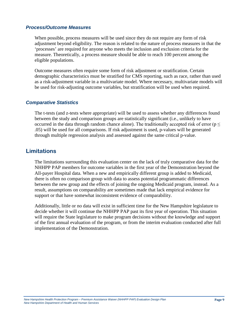#### <span id="page-10-0"></span>*Process/Outcome Measures*

When possible, process measures will be used since they do not require any form of risk adjustment beyond eligibility. The reason is related to the nature of process measures in that the 'processes' are required for anyone who meets the inclusion and exclusion criteria for the measure. Theoretically, a process measure should be able to reach 100 percent among the eligible populations.

Outcome measures often require some form of risk adjustment or stratification. Certain demographic characteristics must be stratified for CMS reporting, such as race, rather than used as a risk-adjustment variable in a multivariate model. Where necessary, multivariate models will be used for risk-adjusting outcome variables, but stratification will be used when required.

#### <span id="page-10-1"></span>*Comparative Statistics*

The t-tests (and z-tests where appropriate) will be used to assess whether any differences found between the study and comparison groups are statistically significant (i.e., unlikely to have occurred in the data through random chance alone). The traditionally accepted risk of error ( $p \le$ .05) will be used for all comparisons. If risk adjustment is used, p-values will be generated through multiple regression analysis and assessed against the same critical p-value.

### <span id="page-10-2"></span>**Limitations**

The limitations surrounding this evaluation center on the lack of truly comparative data for the NHHPP PAP members for outcome variables in the first year of the Demonstration beyond the All-payer Hospital data. When a new and empirically different group is added to Medicaid, there is often no comparison group with data to assess potential programmatic differences between the new group and the effects of joining the ongoing Medicaid program, instead. As a result, assumptions on comparability are sometimes made that lack empirical evidence for support or that have somewhat inconsistent evidence of comparability.

Additionally, little or no data will exist in sufficient time for the New Hampshire legislature to decide whether it will continue the NHHPP PAP past its first year of operation. This situation will require the State legislature to make program decisions without the knowledge and support of the first annual evaluation of the program, or from the interim evaluation conducted after full implementation of the Demonstration.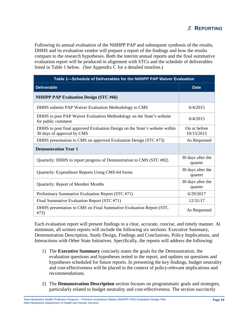<span id="page-11-0"></span>Following its annual evaluation of the NHHPP PAP and subsequent synthesis of the results, DHHS and its evaluation vendor will prepare a report of the findings and how the results compare to the research hypotheses. Both the interim annual reports and the final summative evaluation report will be produced in alignment with STCs and the schedule of deliverables listed in Table 1 below. (See Appendix C for a detailed timeline.)

| Table 1-Schedule of Deliverables for the NHHPP PAP Waiver Evaluation                                      |                              |  |
|-----------------------------------------------------------------------------------------------------------|------------------------------|--|
| <b>Deliverable</b>                                                                                        | <b>Date</b>                  |  |
| <b>NHHPP PAP Evaluation Design (STC #66)</b>                                                              |                              |  |
| DHHS submits PAP Waiver Evaluation Methodology to CMS                                                     | 6/4/2015                     |  |
| DHHS to post PAP Waiver Evaluation Methodology on the State's website<br>for public comment               | 6/4/2015                     |  |
| DHHS to post final approved Evaluation Design on the State's website within<br>30 days of approval by CMS | On or before<br>10/15/2015   |  |
| DHHS presentation to CMS on approved Evaluation Design (STC #73)                                          | As Requested                 |  |
| <b>Demonstration Year 1</b>                                                                               |                              |  |
| Quarterly: DHHS to report progress of Demonstration to CMS (STC #82)                                      | 30 days after the<br>quarter |  |
| Quarterly: Expenditure Reports Using CMS-64 forms                                                         | 30 days after the<br>quarter |  |
| <b>Quarterly: Report of Member Months</b>                                                                 | 30 days after the<br>quarter |  |
| Preliminary Summative Evaluation Report (STC #71)                                                         | 6/29/2017                    |  |
| Final Summative Evaluation Report (STC #71)                                                               | 12/31/17                     |  |
| DHHS presentation to CMS on Final Summative Evaluation Report (STC<br>#73)                                | As Requested                 |  |

Each evaluation report will present findings in a clear, accurate, concise, and timely manner. At minimum, all written reports will include the following six sections: Executive Summary, Demonstration Description, Study Design, Findings and Conclusions, Policy Implications, and Interactions with Other State Initiatives. Specifically, the reports will address the following:

- 1) The **Executive Summary** concisely states the goals for the Demonstration, the evaluation questions and hypotheses tested in the report, and updates on questions and hypotheses scheduled for future reports. In presenting the key findings, budget neutrality and cost-effectiveness will be placed in the context of policy-relevant implications and recommendations.
- 2) The **Demonstration Description** section focuses on programmatic goals and strategies, particularly related to budget neutrality and cost-effectiveness. The section succinctly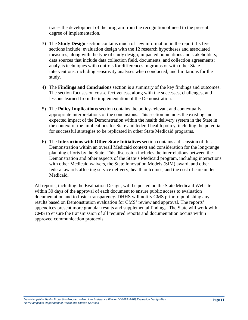traces the development of the program from the recognition of need to the present degree of implementation.

- 3) The **Study Design** section contains much of new information in the report. Its five sections include: evaluation design with the 12 research hypotheses and associated measures, along with the type of study design; impacted populations and stakeholders; data sources that include data collection field, documents, and collection agreements; analysis techniques with controls for differences in groups or with other State interventions, including sensitivity analyses when conducted; and limitations for the study.
- 4) The **Findings and Conclusions** section is a summary of the key findings and outcomes. The section focuses on cost-effectiveness, along with the successes, challenges, and lessons learned from the implementation of the Demonstration.
- 5) The **Policy Implications** section contains the policy-relevant and contextually appropriate interpretations of the conclusions. This section includes the existing and expected impact of the Demonstration within the health delivery system in the State in the context of the implications for State and federal health policy, including the potential for successful strategies to be replicated in other State Medicaid programs.
- 6) The **Interactions with Other State Initiatives** section contains a discussion of this Demonstration within an overall Medicaid context and consideration for the long-range planning efforts by the State. This discussion includes the interrelations between the Demonstration and other aspects of the State's Medicaid program, including interactions with other Medicaid waivers, the State Innovation Models (SIM) award, and other federal awards affecting service delivery, health outcomes, and the cost of care under Medicaid.

All reports, including the Evaluation Design, will be posted on the State Medicaid Website within 30 days of the approval of each document to ensure public access to evaluation documentation and to foster transparency. DHHS will notify CMS prior to publishing any results based on Demonstration evaluation for CMS' review and approval. The reports' appendices present more granular results and supplemental findings. The State will work with CMS to ensure the transmission of all required reports and documentation occurs within approved communication protocols.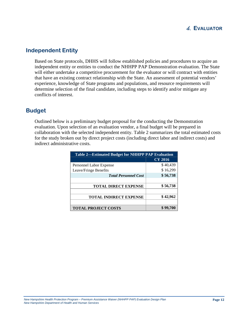

## <span id="page-13-1"></span><span id="page-13-0"></span>**Independent Entity**

Based on State protocols, DHHS will follow established policies and procedures to acquire an independent entity or entities to conduct the NHHPP PAP Demonstration evaluation. The State will either undertake a competitive procurement for the evaluator or will contract with entities that have an existing contract relationship with the State. An assessment of potential vendors' experience, knowledge of State programs and populations, and resource requirements will determine selection of the final candidate, including steps to identify and/or mitigate any conflicts of interest.

## <span id="page-13-2"></span>**Budget**

Outlined below is a preliminary budget proposal for the conducting the Demonstration evaluation. Upon selection of an evaluation vendor, a final budget will be prepared in collaboration with the selected independent entity. Table 2 summarizes the total estimated costs for the study broken out by direct project costs (including direct labor and indirect costs) and indirect administrative costs.

| <b>Table 2—Estimated Budget for NHHPP PAP Evaluation</b> |                |
|----------------------------------------------------------|----------------|
|                                                          | <b>CY 2016</b> |
| Personnel Labor Expense                                  | \$40,439       |
| Leave/Fringe Benefits                                    | \$16,299       |
| <b>Total Personnel Cost</b>                              | \$56,738       |
|                                                          |                |
| <b>TOTAL DIRECT EXPENSE</b>                              | \$56,738       |
|                                                          |                |
| <b>TOTAL INDIRECT EXPENSE</b>                            | \$42,962       |
|                                                          |                |
| <b>TOTAL PROJECT COSTS</b>                               | \$99,700       |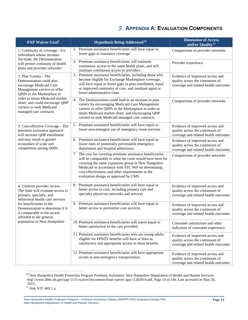# 5. **APPENDIX A: EVALUATION COMPONENTS**

<span id="page-14-0"></span>

| <b>PAP Waiver Goal</b> <sup>1</sup>                                                                                                        | <b>Hypothesis Being Addressed<sup>10</sup></b>                                                                                                                                                                                                                                                                                | <b>Dimension of Access</b><br>and/or Quality <sup>11</sup>                                                 |
|--------------------------------------------------------------------------------------------------------------------------------------------|-------------------------------------------------------------------------------------------------------------------------------------------------------------------------------------------------------------------------------------------------------------------------------------------------------------------------------|------------------------------------------------------------------------------------------------------------|
| 1. Continuity of coverage - For<br>individuals whose incomes                                                                               | 1. Premium assistance beneficiaries will have equal or<br>fewer gaps in insurance coverage                                                                                                                                                                                                                                    | Comparisons of provider networks                                                                           |
| fluctuate, the Demonstration<br>will permit continuity of health<br>plans and provider networks                                            | 2. Premium assistance beneficiaries will maintain<br>continuous access to the same health plans, and will<br>maintain continuous access to providers                                                                                                                                                                          | Provider experience                                                                                        |
| 2. Plan Variety - The<br>Demonstration could also<br>encourage Medicaid Care<br>Management carriers to offer<br>QHPs in the Marketplace in | 3. Premium assistance beneficiaries, including those who<br>become eligible for Exchange Marketplace coverage,<br>will have equal or fewer gaps in plan enrollment, equal<br>or improved continuity of care, and resultant equal or<br>lower administrative costs                                                             | Evidence of improved access and<br>quality across the continuum of<br>coverage and related health outcomes |
| order to retain Medicaid market<br>share, and could encourage QHP<br>carriers to seek Medicaid<br>managed care contracts                   | 4. The Demonstration could lead to an increase in plan<br>variety by encouraging Medicaid Care Management<br>carriers to offer QHPs in the Marketplace in order to<br>retain Medicaid market share, and encouraging QHP<br>carriers to seek Medicaid managed care contracts                                                   | Comparisons of provider networks                                                                           |
| 3. Cost-effective Coverage - The<br>premium assistance approach<br>will increase QHP enrollment                                            | 5. Premium assistance beneficiaries will have equal or<br>lower non-emergent use of emergency room services                                                                                                                                                                                                                   | Evidence of improved access and<br>quality across the continuum of<br>coverage and related health outcomes |
| and may result in greater<br>economies of scale and<br>competition among QHPs                                                              | 6. Premium assistance beneficiaries will have equal or<br>lower rates of potentially preventable emergency<br>department and hospital admissions                                                                                                                                                                              | Evidence of improved access and<br>quality across the continuum of<br>coverage and related health outcomes |
|                                                                                                                                            | 7. The cost for covering premium assistance beneficiaries<br>will be comparable to what the costs would have been for<br>covering the same expansion group in New Hampshire<br>Medicaid in accordance with STC #69 on determining<br>cost-effectiveness and other requirements in the<br>evaluation design as approved by CMS | Comparisons of provider networks                                                                           |
| 4. Uniform provider access -<br>The State will evaluate access to<br>primary, specialty, and<br>behavioral health care services            | 8. Premium assistance beneficiaries will have equal or<br>better access to care, including primary care and<br>specialty physician networks and services                                                                                                                                                                      | Evidence of improved access and<br>quality across the continuum of<br>coverage and related health outcomes |
| for beneficiaries in the<br>Demonstration to determine if it<br>is comparable to the access<br>afforded to the general                     | 9. Premium assistance beneficiaries will have equal or<br>better access to preventive care services                                                                                                                                                                                                                           | Evidence of improved access and<br>quality across the continuum of<br>coverage and related health outcomes |
| population in New Hampshire                                                                                                                | 10. Premium assistance beneficiaries will report equal or<br>better satisfaction in the care provided                                                                                                                                                                                                                         | Consumer satisfaction and other<br>indicators of consumer experience                                       |
|                                                                                                                                            | 11. Premium assistance beneficiaries who are young adults<br>eligible for EPSDT benefits will have at least as<br>satisfactory and appropriate access to these benefits                                                                                                                                                       | Evidence of improved access and<br>quality across the continuum of<br>coverage and related health outcomes |
|                                                                                                                                            | 12. Premium assistance beneficiaries will have appropriate<br>access to non-emergency transportation                                                                                                                                                                                                                          | Evidence of improved access and<br>quality across the continuum of<br>coverage and related health outcomes |

<span id="page-14-1"></span><sup>&</sup>lt;sup>10</sup> New Hampshire Health Protection Program Premium Assistance. New Hampshire Department of Health and Human Services. http://www.dhhs.nh.gov/pap-1115-waiver/documents/final-waiver-app-11202014.pdf, Page 10 of 146. Last accessed on May 26, 2015.

<span id="page-14-2"></span> $11$  ibid, STC #69.1.a.

*New Hampshire Health Protection Program – Premium Assistance Waiver (NHHPP PAP) Evaluation Design Plan New Hampshire Department of Health and Human Services*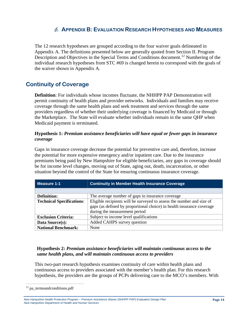# 6. **APPENDIX B: EVALUATION RESEARCH HYPOTHESES AND MEASURES**

<span id="page-15-0"></span>The 12 research hypotheses are grouped according to the four waiver goals delineated in Appendix A. The definitions presented below are generally quoted from Section II. Program Description and Objectives in the Special Terms and Conditions document.<sup>[12](#page-15-2)</sup> Numbering of the individual research hypotheses from STC #69 is changed herein to correspond with the goals of the waiver shown in Appendix A.

# <span id="page-15-1"></span>**Continuity of Coverage**

**Definition**: For individuals whose incomes fluctuate, the NHHPP PAP Demonstration will permit continuity of health plans and provider networks. Individuals and families may receive coverage through the same health plans and seek treatment and services through the same providers regardless of whether their underlying coverage is financed by Medicaid or through the Marketplace. The State will evaluate whether individuals remain in the same QHP when Medicaid payment is terminated.

#### **Hypothesis 1:** *Premium assistance beneficiaries will have equal or fewer gaps in insurance coverage*

Gaps in insurance coverage decrease the potential for preventive care and, therefore, increase the potential for more expensive emergency and/or inpatient care. Due to the insurance premiums being paid by New Hampshire for eligible beneficiaries, any gaps in coverage should be for income level changes, moving out of State, aging out, death, incarceration, or other situation beyond the control of the State for ensuring continuous insurance coverage.

| Measure 1-1                      | <b>Continuity in Member Health Insurance Coverage</b>                                                                                                                           |
|----------------------------------|---------------------------------------------------------------------------------------------------------------------------------------------------------------------------------|
|                                  |                                                                                                                                                                                 |
| <b>Definition:</b>               | The average number of gaps in insurance coverage                                                                                                                                |
| <b>Technical Specifications:</b> | Eligible recipients will be surveyed to assess the number and size of<br>gaps (as defined by proportional choice) in health insurance coverage<br>during the measurement period |
| <b>Exclusion Criteria:</b>       | Subject to income level qualifications                                                                                                                                          |
| Data Source(s):                  | Added CAHPS survey question                                                                                                                                                     |
| <b>National Benchmark:</b>       | None                                                                                                                                                                            |

#### **Hypothesis 2:** *Premium assistance beneficiaries will maintain continuous access to the same health plans, and will maintain continuous access to providers*

This two-part research hypothesis examines continuity of care within health plans and continuous access to providers associated with the member's health plan. For this research hypothesis, the providers are the groups of PCPs delivering care to the MCO's members. With

<span id="page-15-2"></span> $12$  pa\_termsandconditions.pdf

*New Hampshire Health Protection Program – Premium Assistance Waiver (NHHPP PAP) Evaluation Design Plan New Hampshire Department of Health and Human Services*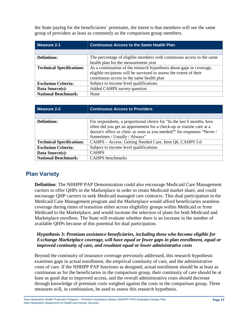the State paying for the beneficiaries' premiums, the intent is that members will see the same group of providers as least as commonly as the comparison group members.

| Measure 2-1                      | <b>Continuous Access to the Same Health Plan</b>                      |  |
|----------------------------------|-----------------------------------------------------------------------|--|
|                                  |                                                                       |  |
| <b>Definition:</b>               | The percentage of eligible members with continuous access to the same |  |
|                                  | health plan for the measurement year                                  |  |
| <b>Technical Specifications:</b> | As a continuation of the research hypothesis about gaps in coverage,  |  |
|                                  | eligible recipients will be surveyed to assess the extent of their    |  |
|                                  | continuous access to the same health plan                             |  |
| <b>Exclusion Criteria:</b>       | Subject to income level qualifications                                |  |
| Data Source(s):                  | Added CAHPS survey question                                           |  |
| <b>National Benchmark:</b>       | None                                                                  |  |

| <b>Measure 2-2</b>               | <b>Continuous Access to Providers</b>                                                                                                                                                                                                                      |
|----------------------------------|------------------------------------------------------------------------------------------------------------------------------------------------------------------------------------------------------------------------------------------------------------|
|                                  |                                                                                                                                                                                                                                                            |
| Definition:                      | For respondents, a proportional choice for "In the last 6 months, how<br>often did you get an appointment for a check-up or routine care at a<br>doctor's office or clinic as soon as you needed?" for responses "Never /<br>Sometimes / Usually / Always" |
| <b>Technical Specifications:</b> | CAHPS - Access: Getting Needed Care, Item Q6, CAHPS 5.0                                                                                                                                                                                                    |
| <b>Exclusion Criteria:</b>       | Subject to income level qualifications                                                                                                                                                                                                                     |
| Data Source(s):                  | <b>CAHPS</b>                                                                                                                                                                                                                                               |
| <b>National Benchmark:</b>       | <b>CAHPS</b> benchmarks                                                                                                                                                                                                                                    |

# <span id="page-16-0"></span>**Plan Variety**

**Definition**: The NHHPP PAP Demonstration could also encourage Medicaid Care Management carriers to offer QHPs in the Marketplace in order to retain Medicaid market share, and could encourage QHP carriers to seek Medicaid managed care contracts. This dual participation in the Medicaid Care Management program and the Marketplace would afford beneficiaries seamless coverage during times of transition either across eligibility groups within Medicaid or from Medicaid to the Marketplace, and would increase the selection of plans for both Medicaid and Marketplace enrollees. The State will evaluate whether there is an increase in the number of available QHPs because of this potential for dual participation.

#### **Hypothesis 3:** *Premium assistance beneficiaries, including those who become eligible for Exchange Marketplace coverage, will have equal or fewer gaps in plan enrollment, equal or improved continuity of care, and resultant equal or lower administrative costs*

Beyond the continuity of insurance coverage previously addressed, this research hypothesis examines gaps in actual enrollment, the empirical continuity of care, and the administrative costs of care. If the NHHPP PAP functions as designed, actual enrollment should be at least as continuous as for the beneficiaries in the comparison group, their continuity of care should be at least as good due to improved access, and the overall administrative costs should decrease through knowledge of premium costs weighed against the costs in the comparison group. Three measures will, in combination, be used to assess this research hypothesis.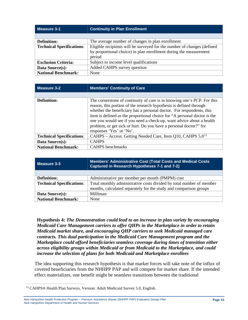| Measure 3-1                      | <b>Continuity in Plan Enrollment</b>                                    |
|----------------------------------|-------------------------------------------------------------------------|
|                                  |                                                                         |
| <b>Definition:</b>               | The average number of changes in plan enrollment                        |
| <b>Technical Specifications:</b> | Eligible recipients will be surveyed for the number of changes (defined |
|                                  | by proportional choice) in plan enrollment during the measurement       |
|                                  | period                                                                  |
| <b>Exclusion Criteria:</b>       | Subject to income level qualifications                                  |
| Data Source(s):                  | Added CAHPS survey question                                             |
| <b>National Benchmark:</b>       | None                                                                    |

| Measure 3-2                      | <b>Members' Continuity of Care</b>                                                                                                                                                                                                                                                                                                                                                                                                                                         |
|----------------------------------|----------------------------------------------------------------------------------------------------------------------------------------------------------------------------------------------------------------------------------------------------------------------------------------------------------------------------------------------------------------------------------------------------------------------------------------------------------------------------|
|                                  |                                                                                                                                                                                                                                                                                                                                                                                                                                                                            |
| <b>Definition:</b>               | The cornerstone of continuity of care is in knowing one's PCP. For this<br>reason, this portion of the research hypothesis is defined through<br>whether the beneficiary has a personal doctor. For respondents, this<br>item is defined as the proportional choice for "A personal doctor is the<br>one you would see if you need a check-up, want advice about a health<br>problem, or get sick or hurt. Do you have a personal doctor?" for<br>responses 'Yes' or 'No'. |
| <b>Technical Specifications:</b> | CAHPS – Access: Getting Needed Care, Item Q10, CAHPS 5.0 <sup>13</sup>                                                                                                                                                                                                                                                                                                                                                                                                     |
| Data Source(s):                  | <b>CAHPS</b>                                                                                                                                                                                                                                                                                                                                                                                                                                                               |
| <b>National Benchmark:</b>       | <b>CAHPS</b> benchmarks                                                                                                                                                                                                                                                                                                                                                                                                                                                    |

| Measure 3-3                      | <b>Members' Administrative Cost (Total Costs and Medical Costs)</b><br>Captured in Research Hypotheses 7-1 and 7-2)                       |
|----------------------------------|-------------------------------------------------------------------------------------------------------------------------------------------|
|                                  |                                                                                                                                           |
| <b>Definition:</b>               | Administrative per member per month (PMPM) cost                                                                                           |
| <b>Technical Specifications:</b> | Total monthly administrative costs divided by total number of member<br>months, calculated separately for the study and comparison groups |
| Data Source(s):                  | Milliman                                                                                                                                  |
| <b>National Benchmark:</b>       | None                                                                                                                                      |

**Hypothesis 4:** *The Demonstration could lead to an increase in plan variety by encouraging Medicaid Care Management carriers to offer QHPs in the Marketplace in order to retain Medicaid market share, and encouraging QHP carriers to seek Medicaid managed care contracts. This dual participation in the Medicaid Care Management program and the Marketplace could afford beneficiaries seamless coverage during times of transition either across eligibility groups within Medicaid or from Medicaid to the Marketplace, and could increase the selection of plans for both Medicaid and Marketplace enrollees*

The idea supporting this research hypothesis is that market forces will take note of the influx of covered beneficiaries from the NHHPP PAP and will compete for market share. If the intended effect materializes, one benefit might be seamless transitions between the traditional

<span id="page-17-0"></span> <sup>13</sup> CAHPS® Health Plan Surveys, Version: Adult Medicaid Survey 5.0, English.

*New Hampshire Health Protection Program – Premium Assistance Waiver (NHHPP PAP) Evaluation Design Plan New Hampshire Department of Health and Human Services*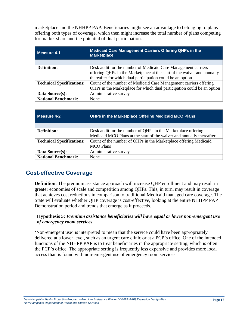marketplace and the NHHPP PAP. Beneficiaries might see an advantage to belonging to plans offering both types of coverage, which then might increase the total number of plans competing for market share and the potential of dual participation.

| <b>Measure 4-1</b>               | <b>Medicaid Care Management Carriers Offering QHPs in the</b><br><b>Marketplace</b> |
|----------------------------------|-------------------------------------------------------------------------------------|
|                                  |                                                                                     |
| <b>Definition:</b>               | Desk audit for the number of Medicaid Care Management carriers                      |
|                                  | offering QHPs in the Marketplace at the start of the waiver and annually            |
|                                  | thereafter for which dual participation could be an option                          |
| <b>Technical Specifications:</b> | Count of the number of Medicaid Care Management carriers offering                   |
|                                  | QHPs in the Marketplace for which dual participation could be an option             |
| Data Source(s):                  | Administrative survey                                                               |
| <b>National Benchmark:</b>       | None                                                                                |

| Measure 4-2                      | <b>QHPs in the Marketplace Offering Medicaid MCO Plans</b>            |  |
|----------------------------------|-----------------------------------------------------------------------|--|
|                                  |                                                                       |  |
| <b>Definition:</b>               | Desk audit for the number of QHPs in the Marketplace offering         |  |
|                                  | Medicaid MCO Plans at the start of the waiver and annually thereafter |  |
| <b>Technical Specifications:</b> | Count of the number of QHPs in the Marketplace offering Medicaid      |  |
|                                  | <b>MCO Plans</b>                                                      |  |
| Data Source(s):                  | Administrative survey                                                 |  |
| <b>National Benchmark:</b>       | None                                                                  |  |

# <span id="page-18-0"></span>**Cost-effective Coverage**

**Definition**: The premium assistance approach will increase QHP enrollment and may result in greater economies of scale and competition among QHPs. This, in turn, may result in coverage that achieves cost reductions in comparison to traditional Medicaid managed care coverage. The State will evaluate whether QHP coverage is cost-effective, looking at the entire NHHPP PAP Demonstration period and trends that emerge as it proceeds.

#### **Hypothesis 5:** *Premium assistance beneficiaries will have equal or lower non-emergent use of emergency room services*

'Non-emergent use' is interpreted to mean that the service could have been appropriately delivered at a lower level, such as an urgent care clinic or at a PCP's office. One of the intended functions of the NHHPP PAP is to treat beneficiaries in the appropriate setting, which is often the PCP's office. The appropriate setting is frequently less expensive and provides more local access than is found with non-emergent use of emergency room services.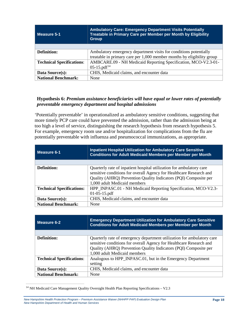| Measure 5-1                      | <b>Ambulatory Care: Emergency Department Visits Potentially</b><br>Treatable in Primary Care per Member per Month by Eligibility<br><b>Group</b> |
|----------------------------------|--------------------------------------------------------------------------------------------------------------------------------------------------|
|                                  |                                                                                                                                                  |
| <b>Definition:</b>               | Ambulatory emergency department visits for conditions potentially                                                                                |
|                                  | treatable in primary care per 1,000 member months by eligibility group                                                                           |
| <b>Technical Specifications:</b> | AMBCARE.09 - NH Medicaid Reporting Specification, MCO-V2.3-01-                                                                                   |
|                                  | $05-15.pdf14$                                                                                                                                    |
| Data Source(s):                  | CHIS, Medicaid claims, and encounter data                                                                                                        |
| <b>National Benchmark:</b>       | None                                                                                                                                             |

#### **Hypothesis 6:** *Premium assistance beneficiaries will have equal or lower rates of potentially preventable emergency department and hospital admissions*

'Potentially preventable' in operationalized as ambulatory sensitive conditions, suggesting that more timely PCP care could have prevented the admission, rather than the admission being at too high a level of service, distinguishing the research hypothesis from research hypothesis 5. For example, emergency room use and/or hospitalization for complications from the flu are potentially preventable with influenza and pneumococcal immunizations, as appropriate.

| l Measure 6-1                    | <b>Inpatient Hospital Utilization for Ambulatory Care Sensitive</b><br><b>Conditions for Adult Medicaid Members per Member per Month</b>                                                                                                        |
|----------------------------------|-------------------------------------------------------------------------------------------------------------------------------------------------------------------------------------------------------------------------------------------------|
|                                  |                                                                                                                                                                                                                                                 |
| <b>Definition:</b>               | Quarterly rate of inpatient hospital utilization for ambulatory care<br>sensitive conditions for overall Agency for Healthcare Research and<br>Quality (AHRQ) Prevention Quality Indicators (PQI) Composite per<br>1,000 adult Medicaid members |
| <b>Technical Specifications:</b> | HPP_INPASC.01 - NH Medicaid Reporting Specification, MCO-V2.3-<br>$01-05-15.pdf$                                                                                                                                                                |
| Data Source(s):                  | CHIS, Medicaid claims, and encounter data                                                                                                                                                                                                       |
| <b>National Benchmark:</b>       | None                                                                                                                                                                                                                                            |

| Measure 6-2                      | <b>Emergency Department Utilization for Ambulatory Care Sensitive</b><br><b>Conditions for Adult Medicaid Members per Member per Month</b>                                                                                                        |
|----------------------------------|---------------------------------------------------------------------------------------------------------------------------------------------------------------------------------------------------------------------------------------------------|
|                                  |                                                                                                                                                                                                                                                   |
| <b>Definition:</b>               | Quarterly rate of emergency department utilization for ambulatory care<br>sensitive conditions for overall Agency for Healthcare Research and<br>Quality (AHRQ) Prevention Quality Indicators (PQI) Composite per<br>1,000 adult Medicaid members |
| <b>Technical Specifications:</b> | Analogous to HPP_INPASC.01, but in the Emergency Department<br>setting                                                                                                                                                                            |
| Data Source(s):                  | CHIS, Medicaid claims, and encounter data                                                                                                                                                                                                         |
| <b>National Benchmark:</b>       | None                                                                                                                                                                                                                                              |

<span id="page-19-0"></span><sup>&</sup>lt;sup>14</sup> NH Medicaid Care Management Quality Oversight Health Plan Reporting Specifications – V2.3

*New Hampshire Health Protection Program – Premium Assistance Waiver (NHHPP PAP) Evaluation Design Plan New Hampshire Department of Health and Human Services*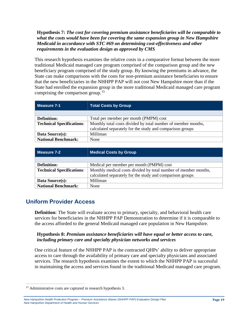#### **Hypothesis 7:** *The cost for covering premium assistance beneficiaries will be comparable to what the costs would have been for covering the same expansion group in New Hampshire Medicaid in accordance with STC #69 on determining cost-effectiveness and other requirements in the evaluation design as approved by CMS*

This research hypothesis examines the relative costs in a comparative format between the more traditional Medicaid managed care program comprised of the comparison group and the new beneficiary program comprised of the study group. By knowing the premiums in advance, the State can make comparisons with the costs for non-premium assistance beneficiaries to ensure that the new beneficiaries in the NHHPP PAP will not cost New Hampshire more than if the State had enrolled the expansion group in the more traditional Medicaid managed care program comprising the comparison group.<sup>[15](#page-20-1)</sup>

| Measure 7-1                      | <b>Total Costs by Group</b>                                   |
|----------------------------------|---------------------------------------------------------------|
|                                  |                                                               |
| <b>Definition:</b>               | Total per member per month (PMPM) cost                        |
| <b>Technical Specifications:</b> | Monthly total costs divided by total number of member months, |
|                                  | calculated separately for the study and comparison groups     |
| Data Source(s):                  | Milliman                                                      |
| <b>National Benchmark:</b>       | None                                                          |

| Measure 7-2                      | <b>Medical Costs by Group</b>                                   |
|----------------------------------|-----------------------------------------------------------------|
|                                  |                                                                 |
| <b>Definition:</b>               | Medical per member per month (PMPM) cost                        |
| <b>Technical Specifications:</b> | Monthly medical costs divided by total number of member months, |
|                                  | calculated separately for the study and comparison groups       |
| Data Source(s):                  | Milliman                                                        |
| <b>National Benchmark:</b>       | None                                                            |

# <span id="page-20-0"></span>**Uniform Provider Access**

**Definition**: The State will evaluate access to primary, specialty, and behavioral health care services for beneficiaries in the NHHPP PAP Demonstration to determine if it is comparable to the access afforded to the general Medicaid managed care population in New Hampshire.

#### **Hypothesis 8:** *Premium assistance beneficiaries will have equal or better access to care, including primary care and specialty physician networks and services*

One critical feature of the NHHPP PAP is the contracted QHPs' ability to deliver appropriate access to care through the availability of primary care and specialty physicians and associated services. The research hypothesis examines the extent to which the NHHPP PAP is successful in maintaining the access and services found in the traditional Medicaid managed care program.

<span id="page-20-1"></span><sup>&</sup>lt;sup>15</sup> Administrative costs are captured in research hypothesis 3.

*New Hampshire Health Protection Program – Premium Assistance Waiver (NHHPP PAP) Evaluation Design Plan New Hampshire Department of Health and Human Services*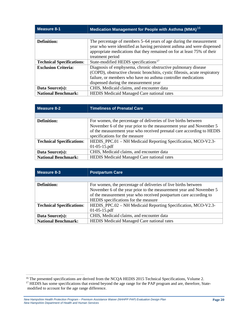| <b>Measure 8-1</b>               | Medication Management for People with Asthma (MMA) <sup>16</sup>           |
|----------------------------------|----------------------------------------------------------------------------|
|                                  |                                                                            |
| <b>Definition:</b>               | The percentage of members 5–64 years of age during the measurement         |
|                                  | year who were identified as having persistent asthma and were dispensed    |
|                                  | appropriate medications that they remained on for at least 75% of their    |
|                                  | treatment period                                                           |
| <b>Technical Specifications:</b> | State-modified HEDIS specifications <sup>17</sup>                          |
| <b>Exclusion Criteria:</b>       | Diagnosis of emphysema, chronic obstructive pulmonary disease              |
|                                  | (COPD), obstructive chronic bronchitis, cystic fibrosis, acute respiratory |
|                                  | failure, or members who have no asthma controller medications              |
|                                  | dispensed during the measurement year                                      |
| Data Source(s):                  | CHIS, Medicaid claims, and encounter data                                  |
| <b>National Benchmark:</b>       | <b>HEDIS</b> Medicaid Managed Care national rates                          |

| Measure 8-2                      | <b>Timeliness of Prenatal Care</b>                                    |
|----------------------------------|-----------------------------------------------------------------------|
|                                  |                                                                       |
| <b>Definition:</b>               | For women, the percentage of deliveries of live births between        |
|                                  | November 6 of the year prior to the measurement year and November 5   |
|                                  | of the measurement year who received prenatal care according to HEDIS |
|                                  | specifications for the measure                                        |
| <b>Technical Specifications:</b> | HEDIS_PPC.01 – NH Medicaid Reporting Specification, MCO-V2.3-         |
|                                  | $01-05-15.pdf$                                                        |
| Data Source(s):                  | CHIS, Medicaid claims, and encounter data                             |
| <b>National Benchmark:</b>       | <b>HEDIS</b> Medicaid Managed Care national rates                     |

| Measure 8-3                      | <b>Postpartum Care</b>                                              |
|----------------------------------|---------------------------------------------------------------------|
|                                  |                                                                     |
| <b>Definition:</b>               | For women, the percentage of deliveries of live births between      |
|                                  | November 6 of the year prior to the measurement year and November 5 |
|                                  | of the measurement year who received postpartum care according to   |
|                                  | HEDIS specifications for the measure                                |
| <b>Technical Specifications:</b> | HEDIS_PPC.02 – NH Medicaid Reporting Specification, MCO-V2.3-       |
|                                  | $01-05-15.pdf$                                                      |
| Data Source(s):                  | CHIS, Medicaid claims, and encounter data                           |
| <b>National Benchmark:</b>       | <b>HEDIS</b> Medicaid Managed Care national rates                   |

<span id="page-21-0"></span><sup>&</sup>lt;sup>16</sup> The presented specifications are derived from the NCQA HEDIS 2015 Technical Specifications, Volume 2.

<span id="page-21-1"></span><sup>&</sup>lt;sup>17</sup> HEDIS has some specifications that extend beyond the age range for the PAP program and are, therefore, Statemodified to account for the age range difference.

*New Hampshire Health Protection Program – Premium Assistance Waiver (NHHPP PAP) Evaluation Design Plan New Hampshire Department of Health and Human Services*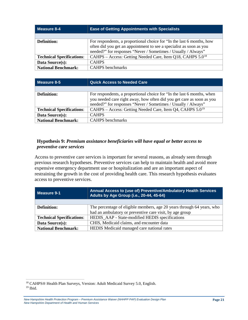| Measure 8-4                      | <b>Ease of Getting Appointments with Specialists</b>                   |
|----------------------------------|------------------------------------------------------------------------|
|                                  |                                                                        |
| Definition:                      | For respondents, a proportional choice for "In the last 6 months, how  |
|                                  | often did you get an appointment to see a specialist as soon as you    |
|                                  | needed?" for responses "Never / Sometimes / Usually / Always"          |
| <b>Technical Specifications:</b> | CAHPS – Access: Getting Needed Care, Item Q18, CAHPS 5.0 <sup>18</sup> |
| Data Source(s):                  | <b>CAHPS</b>                                                           |
| <b>National Benchmark:</b>       | <b>CAHPS</b> benchmarks                                                |

| Measure 8-5                      | <b>Quick Access to Needed Care</b>                                                                                                                                                                               |
|----------------------------------|------------------------------------------------------------------------------------------------------------------------------------------------------------------------------------------------------------------|
|                                  |                                                                                                                                                                                                                  |
| <b>Definition:</b>               | For respondents, a proportional choice for "In the last 6 months, when<br>you needed care right away, how often did you get care as soon as you<br>needed?" for responses "Never / Sometimes / Usually / Always" |
| <b>Technical Specifications:</b> | CAHPS – Access: Getting Needed Care, Item Q4, CAHPS 5.0 <sup>19</sup>                                                                                                                                            |
| Data Source(s):                  | <b>CAHPS</b>                                                                                                                                                                                                     |
| <b>National Benchmark:</b>       | <b>CAHPS</b> benchmarks                                                                                                                                                                                          |

#### **Hypothesis 9:** *Premium assistance beneficiaries will have equal or better access to preventive care services*

Access to preventive care services is important for several reasons, as already seen through previous research hypotheses. Preventive services can help to maintain health and avoid more expensive emergency department use or hospitalization and are an important aspect of restraining the growth in the cost of providing health care. This research hypothesis evaluates access to preventive services.

| Measure 9-1                      | Annual Access to (use of) Preventive/Ambulatory Health Services<br>Adults by Age Group (i.e., 20-44, 45-64) |
|----------------------------------|-------------------------------------------------------------------------------------------------------------|
|                                  |                                                                                                             |
| <b>Definition:</b>               | The percentage of eligible members, age 20 years through 64 years, who                                      |
|                                  | had an ambulatory or preventive care visit, by age group                                                    |
| <b>Technical Specifications:</b> | HEDIS_AAP - State-modified HEDIS specifications                                                             |
| Data Source(s):                  | CHIS, Medicaid claims, and encounter data                                                                   |
| <b>National Benchmark:</b>       | HEDIS Medicaid managed care national rates                                                                  |

<span id="page-22-1"></span><span id="page-22-0"></span> <sup>18</sup> CAHPS® Health Plan Surveys, Version: Adult Medicaid Survey 5.0, English.  $19$  Ibid.

*New Hampshire Health Protection Program – Premium Assistance Waiver (NHHPP PAP) Evaluation Design Plan New Hampshire Department of Health and Human Services*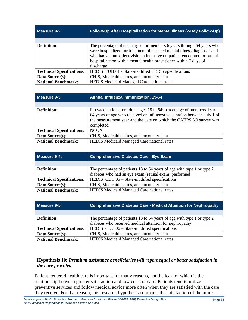| <b>Measure 9-2</b>               | Follow-Up After Hospitalization for Mental Illness (7-Day Follow-Up)                                                                                                                                                                                                                                               |
|----------------------------------|--------------------------------------------------------------------------------------------------------------------------------------------------------------------------------------------------------------------------------------------------------------------------------------------------------------------|
|                                  |                                                                                                                                                                                                                                                                                                                    |
| <b>Definition:</b>               | The percentage of discharges for members 6 years through 64 years who<br>were hospitalized for treatment of selected mental illness diagnoses and<br>who had an outpatient visit, an intensive outpatient encounter, or partial<br>hospitalization with a mental health practitioner within 7 days of<br>discharge |
| <b>Technical Specifications:</b> | HEDIS_FUH.01 - State-modified HEDIS specifications                                                                                                                                                                                                                                                                 |
| Data Source(s):                  | CHIS, Medicaid claims, and encounter data                                                                                                                                                                                                                                                                          |
| <b>National Benchmark:</b>       | HEDIS Medicaid Managed Care national rates                                                                                                                                                                                                                                                                         |

| Measure 9-3                      | <b>Annual Influenza Immunization, 19-64</b>                                                                                                                                                                                           |
|----------------------------------|---------------------------------------------------------------------------------------------------------------------------------------------------------------------------------------------------------------------------------------|
|                                  |                                                                                                                                                                                                                                       |
| <b>Definition:</b>               | Flu vaccinations for adults ages 18 to 64: percentage of members 18 to<br>64 years of age who received an influenza vaccination between July 1 of<br>the measurement year and the date on which the CAHPS 5.0 survey was<br>completed |
| <b>Technical Specifications:</b> | <b>NCQA</b>                                                                                                                                                                                                                           |
| Data Source(s):                  | CHIS, Medicaid claims, and encounter data                                                                                                                                                                                             |
| <b>National Benchmark:</b>       | <b>HEDIS</b> Medicaid Managed Care national rates                                                                                                                                                                                     |

| Measure 9-4:                     | <b>Comprehensive Diabetes Care - Eye Exam</b>                          |
|----------------------------------|------------------------------------------------------------------------|
|                                  |                                                                        |
| <b>Definition:</b>               | The percentage of patients 18 to 64 years of age with type 1 or type 2 |
|                                  | diabetes who had an eye exam (retinal exam) performed                  |
| <b>Technical Specifications:</b> | HEDIS_CDC.05 – State-modified specifications                           |
| Data Source(s):                  | CHIS, Medicaid claims, and encounter data                              |
| <b>National Benchmark:</b>       | <b>HEDIS</b> Medicaid Managed Care national rates                      |

| Measure 9-5                                                                                  | <b>Comprehensive Diabetes Care - Medical Attention for Nephropathy</b> |
|----------------------------------------------------------------------------------------------|------------------------------------------------------------------------|
|                                                                                              |                                                                        |
| The percentage of patients 18 to 64 years of age with type 1 or type 2<br><b>Definition:</b> |                                                                        |
|                                                                                              | diabetes who received medical attention for nephropathy                |
| <b>Technical Specifications:</b>                                                             | HEDIS_CDC.06 – State-modified specifications                           |
| Data Source(s):                                                                              | CHIS, Medicaid claims, and encounter data                              |
| <b>National Benchmark:</b>                                                                   | <b>HEDIS</b> Medicaid Managed Care national rates                      |

#### **Hypothesis 10:** *Premium assistance beneficiaries will report equal or better satisfaction in the care provided*

Patient-centered health care is important for many reasons, not the least of which is the relationship between greater satisfaction and low costs of care. Patients tend to utilize preventive services and follow medical advice more often when they are satisfied with the care they receive. For that reason, this research hypothesis compares the satisfaction of the more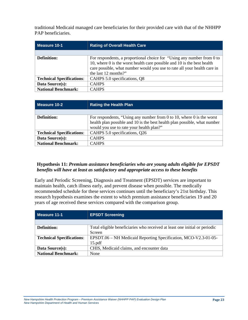traditional Medicaid managed care beneficiaries for their provided care with that of the NHHPP PAP beneficiaries.

| Measure 10-1                     | <b>Rating of Overall Health Care</b>                                                                                                                                                                                                                         |
|----------------------------------|--------------------------------------------------------------------------------------------------------------------------------------------------------------------------------------------------------------------------------------------------------------|
|                                  |                                                                                                                                                                                                                                                              |
| <b>Definition:</b>               | For respondents, a proportional choice for "Using any number from 0 to<br>10, where $\theta$ is the worst health care possible and 10 is the best health<br>care possible, what number would you use to rate all your health care in<br>the last 12 months?" |
| <b>Technical Specifications:</b> | CAHPS 5.0 specifications, Q8                                                                                                                                                                                                                                 |
| Data Source(s):                  | <b>CAHPS</b>                                                                                                                                                                                                                                                 |
| <b>National Benchmark:</b>       | <b>CAHPS</b>                                                                                                                                                                                                                                                 |

| Measure 10-2                     | <b>Rating the Health Plan</b>                                             |
|----------------------------------|---------------------------------------------------------------------------|
|                                  |                                                                           |
| Definition:                      | For respondents, "Using any number from 0 to 10, where 0 is the worst     |
|                                  | health plan possible and 10 is the best health plan possible, what number |
|                                  | would you use to rate your health plan?"                                  |
| <b>Technical Specifications:</b> | CAHPS 5.0 specifications, Q26                                             |
| Data Source(s):                  | <b>CAHPS</b>                                                              |
| <b>National Benchmark:</b>       | <b>CAHPS</b>                                                              |

#### **Hypothesis 11:** *Premium assistance beneficiaries who are young adults eligible for EPSDT benefits will have at least as satisfactory and appropriate access to these benefits*

Early and Periodic Screening, Diagnosis and Treatment (EPSDT) services are important to maintain health, catch illness early, and prevent disease when possible. The medically recommended schedule for these services continues until the beneficiary's 21st birthday. This research hypothesis examines the extent to which premium assistance beneficiaries 19 and 20 years of age received these services compared with the comparison group.

| Measure 11-1                     | <b>EPSDT Screening</b>                                                     |  |
|----------------------------------|----------------------------------------------------------------------------|--|
|                                  |                                                                            |  |
| <b>Definition:</b>               | Total eligible beneficiaries who received at least one initial or periodic |  |
|                                  | Screen                                                                     |  |
| <b>Technical Specifications:</b> | EPSDT.06 – NH Medicaid Reporting Specification, MCO-V2.3-01-05-            |  |
|                                  | 15.pdf                                                                     |  |
| Data Source(s):                  | CHIS, Medicaid claims, and encounter data                                  |  |
| <b>National Benchmark:</b>       | None                                                                       |  |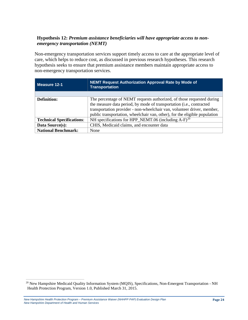#### **Hypothesis 12:** *Premium assistance beneficiaries will have appropriate access to nonemergency transportation (NEMT)*

Non-emergency transportation services support timely access to care at the appropriate level of care, which helps to reduce cost, as discussed in previous research hypotheses. This research hypothesis seeks to ensure that premium assistance members maintain appropriate access to non-emergency transportation services.

| l Measure 12-1                   | NEMT Request Authorization Approval Rate by Mode of<br><b>Transportation</b>                                                                                                                                                                                                                           |
|----------------------------------|--------------------------------------------------------------------------------------------------------------------------------------------------------------------------------------------------------------------------------------------------------------------------------------------------------|
|                                  |                                                                                                                                                                                                                                                                                                        |
| <b>Definition:</b>               | The percentage of NEMT requests authorized, of those requested during<br>the measure data period, by mode of transportation (i.e., contracted<br>transportation provider - non-wheelchair van, volunteer driver, member,<br>public transportation, wheelchair van, other), for the eligible population |
| <b>Technical Specifications:</b> | NH specifications for HPP_NEMT.06 (including $A-F$ ) <sup>20</sup>                                                                                                                                                                                                                                     |
| Data Source(s):                  | CHIS, Medicaid claims, and encounter data                                                                                                                                                                                                                                                              |
| <b>National Benchmark:</b>       | None                                                                                                                                                                                                                                                                                                   |

<span id="page-25-0"></span><sup>&</sup>lt;sup>20</sup> New Hampshire Medicaid Quality Information System (MQIS), Specifications, Non-Emergent Transportation - NH Health Protection Program, Version 1.0, Published March 31, 2015.

*New Hampshire Health Protection Program – Premium Assistance Waiver (NHHPP PAP) Evaluation Design Plan New Hampshire Department of Health and Human Services*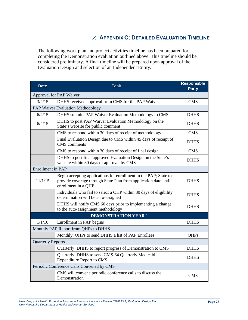# 7. **APPENDIX C: DETAILED EVALUATION TIMELINE**

<span id="page-26-0"></span>The following work plan and project activities timeline has been prepared for completing the Demonstration evaluation outlined above. This timeline should be considered preliminary. A final timeline will be prepared upon approval of the Evaluation Design and selection of an Independent Entity.

| <b>Date</b>              | <b>Task</b>                                                                                                                                                | <b>Responsible</b><br><b>Party</b> |  |
|--------------------------|------------------------------------------------------------------------------------------------------------------------------------------------------------|------------------------------------|--|
|                          | Approval for PAP Waiver                                                                                                                                    |                                    |  |
| 3/4/15                   | DHHS received approval from CMS for the PAP Waiver                                                                                                         | <b>CMS</b>                         |  |
|                          | PAP Waiver Evaluation Methodology                                                                                                                          |                                    |  |
| 6/4/15                   | DHHS submits PAP Waiver Evaluation Methodology to CMS                                                                                                      | <b>DHHS</b>                        |  |
| 6/4/15                   | DHHS to post PAP Waiver Evaluation Methodology on the<br>State's website for public comment                                                                | <b>DHHS</b>                        |  |
|                          | CMS to respond within 30 days of receipt of methodology                                                                                                    | <b>CMS</b>                         |  |
|                          | Final Evaluation Design due to CMS within 45 days of receipt of<br><b>CMS</b> comments                                                                     | <b>DHHS</b>                        |  |
|                          | CMS to respond within 30 days of receipt of final design                                                                                                   | <b>CMS</b>                         |  |
|                          | DHHS to post final approved Evaluation Design on the State's<br>website within 30 days of approval by CMS                                                  | <b>DHHS</b>                        |  |
|                          | <b>Enrollment</b> in PAP                                                                                                                                   |                                    |  |
| 11/1/15                  | Begin accepting applications for enrollment in the PAP; State to<br>provide coverage through State Plan from application date until<br>enrollment in a QHP | <b>DHHS</b>                        |  |
|                          | Individuals who fail to select a QHP within 30 days of eligibility<br>determination will be auto-assigned                                                  | <b>DHHS</b>                        |  |
|                          | DHHS will notify CMS 60 days prior to implementing a change<br>to the auto-assignment methodology                                                          | <b>DHHS</b>                        |  |
|                          | <b>DEMONSTRATION YEAR 1</b>                                                                                                                                |                                    |  |
| 1/1/16                   | Enrollment in PAP begins                                                                                                                                   | <b>DHHS</b>                        |  |
|                          | Monthly PAP Report from QHPs to DHHS                                                                                                                       |                                    |  |
|                          | Monthly: QHPs to send DHHS a list of PAP Enrollees                                                                                                         | <b>OHPs</b>                        |  |
| <b>Quarterly Reports</b> |                                                                                                                                                            |                                    |  |
|                          | Quarterly: DHHS to report progress of Demonstration to CMS                                                                                                 | <b>DHHS</b>                        |  |
|                          | Quarterly: DHHS to send CMS-64 Quarterly Medicaid<br><b>Expenditure Report to CMS</b>                                                                      | <b>DHHS</b>                        |  |
|                          | Periodic Conference Calls Convened by CMS                                                                                                                  |                                    |  |
|                          | CMS will convene periodic conference calls to discuss the<br>Demonstration                                                                                 | <b>CMS</b>                         |  |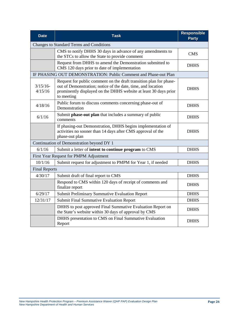| <b>Date</b>            | <b>Task</b>                                                                                                                                                                                                          | <b>Responsible</b><br><b>Party</b> |
|------------------------|----------------------------------------------------------------------------------------------------------------------------------------------------------------------------------------------------------------------|------------------------------------|
|                        | <b>Changes to Standard Terms and Conditions</b>                                                                                                                                                                      |                                    |
|                        | CMS to notify DHHS 30 days in advance of any amendments to<br>the STCs to allow the State to provide comment                                                                                                         | <b>CMS</b>                         |
|                        | Request from DHHS to amend the Demonstration submitted to<br>CMS 120 days prior to date of implementation                                                                                                            | <b>DHHS</b>                        |
|                        | IF PHASING OUT DEMONSTRATION: Public Comment and Phase-out Plan                                                                                                                                                      |                                    |
| $3/15/16$ -<br>4/15/16 | Request for public comment on the draft transition plan for phase-<br>out of Demonstration; notice of the date, time, and location<br>prominently displayed on the DHHS website at least 30 days prior<br>to meeting | <b>DHHS</b>                        |
| 4/18/16                | Public forum to discuss comments concerning phase-out of<br>Demonstration                                                                                                                                            | <b>DHHS</b>                        |
| 6/1/16                 | Submit phase-out plan that includes a summary of public<br>comments                                                                                                                                                  | <b>DHHS</b>                        |
|                        | If phasing-out Demonstration, DHHS begins implementation of<br>activities no sooner than 14 days after CMS approval of the<br>phase-out plan                                                                         | <b>DHHS</b>                        |
|                        | Continuation of Demonstration beyond DY 1                                                                                                                                                                            |                                    |
| 6/1/16                 | Submit a letter of intent to continue program to CMS                                                                                                                                                                 |                                    |
|                        | First Year Request for PMPM Adjustment                                                                                                                                                                               |                                    |
| 10/1/16                | Submit request for adjustment to PMPM for Year 1, if needed                                                                                                                                                          | <b>DHHS</b>                        |
| <b>Final Reports</b>   |                                                                                                                                                                                                                      |                                    |
| 4/30/17                | Submit draft of final report to CMS                                                                                                                                                                                  | <b>DHHS</b>                        |
|                        | Respond to CMS within 120 days of receipt of comments and<br>finalize report                                                                                                                                         | <b>DHHS</b>                        |
| 6/29/17                | Submit Preliminary Summative Evaluation Report                                                                                                                                                                       | <b>DHHS</b>                        |
| 12/31/17               | Submit Final Summative Evaluation Report                                                                                                                                                                             | <b>DHHS</b>                        |
|                        | DHHS to post approved Final Summative Evaluation Report on<br>the State's website within 30 days of approval by CMS                                                                                                  | <b>DHHS</b>                        |
|                        | DHHS presentation to CMS on Final Summative Evaluation<br>Report                                                                                                                                                     | <b>DHHS</b>                        |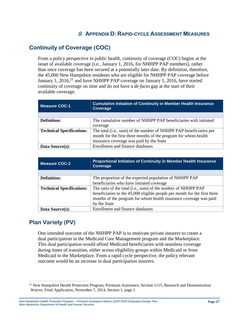# 8. **APPENDIX D: RAPID-CYCLE ASSESSMENT MEASURES**

# <span id="page-28-1"></span><span id="page-28-0"></span>**Continuity of Coverage (COC)**

From a policy perspective in public health, continuity of coverage (COC) begins at the onset of available coverage (i.e., January 1, 2016, for NHHPP PAP members), rather than once coverage has been secured at a potentially later date. By definition, therefore, the 45,000 New Hampshire residents who are eligible for NHHPP PAP coverage before January 1, 2016,<sup>[21](#page-28-3)</sup> and have NHHPP PAP coverage on January 1, 2016, have started continuity of coverage on time and do not have a *de facto* gap at the start of their available coverage.

| <b>Measure COC-1</b>             | <b>Cumulative Initiation of Continuity in Member Health Insurance</b><br>Coverage |  |
|----------------------------------|-----------------------------------------------------------------------------------|--|
|                                  |                                                                                   |  |
| <b>Definition:</b>               | The cumulative number of NHHPP PAP beneficiaries with initiated                   |  |
|                                  | coverage                                                                          |  |
| <b>Technical Specifications:</b> | The total (i.e., sum) of the number of NHHPP PAP beneficiaries per                |  |
|                                  | month for the first three months of the program for whom health                   |  |
|                                  | insurance coverage was paid by the State                                          |  |
| Data Source(s):                  | Enrollment and finance databases                                                  |  |

| Measure COC-2                    | <b>Proportional Initiation of Continuity in Member Health Insurance</b><br>Coverage |  |
|----------------------------------|-------------------------------------------------------------------------------------|--|
|                                  |                                                                                     |  |
| <b>Definition:</b>               | The proportion of the expected population of NHHPP PAP                              |  |
|                                  | beneficiaries who have initiated coverage                                           |  |
| <b>Technical Specifications:</b> | The ratio of the total (i.e., sum) of the number of NHHPP PAP                       |  |
|                                  | beneficiaries to the 45,000 eligible people per month for the first three           |  |
|                                  | months of the program for whom health insurance coverage was paid                   |  |
|                                  | by the State                                                                        |  |
| Data Source(s):                  | Enrollment and finance databases                                                    |  |

# <span id="page-28-2"></span>**Plan Variety (PV)**

One intended outcome of the NHHPP PAP is to motivate private insurers to create a dual participation in the Medicaid Care Management program and the Marketplace. This dual participation would afford Medicaid beneficiaries with seamless coverage during times of transition, either across eligibility groups within Medicaid or from Medicaid to the Marketplace. From a rapid cycle perspective, the policy relevant outcome would be an increase in dual participation insurers.

<sup>&</sup>lt;sup>21</sup> New Hampshire Health Protection Program, Premium Assistance, Section 1115, Research and Demonstration Waiver, Final Application, November 7, 2014, Section 1, page 2

<span id="page-28-3"></span>*New Hampshire Health Protection Program – Premium Assistance Waiver (QHP PAP) Evaluation Design Plan New Hampshire Department of Health and Human Services*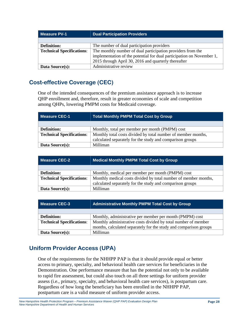| <b>Measure PV-1</b>              | <b>Dual Participation Providers</b>                                   |  |
|----------------------------------|-----------------------------------------------------------------------|--|
|                                  |                                                                       |  |
| <b>Definition:</b>               | The number of dual participation providers                            |  |
| <b>Technical Specifications:</b> | The monthly number of dual participation providers from the           |  |
|                                  | implementation of the potential for dual participation on November 1, |  |
|                                  | 2015 through April 30, 2016 and quarterly thereafter                  |  |
| Data Source(s):                  | Administrative review                                                 |  |

# <span id="page-29-0"></span>**Cost-effective Coverage (CEC)**

One of the intended consequences of the premium assistance approach is to increase QHP enrollment and, therefore, result in greater economies of scale and competition among QHPs, lowering PMPM costs for Medicaid coverage.

| Measure CEC-1                    | Total Monthly PMPM Total Cost by Group                        |
|----------------------------------|---------------------------------------------------------------|
|                                  |                                                               |
| Definition:                      | Monthly, total per member per month (PMPM) cost               |
| <b>Technical Specifications:</b> | Monthly total costs divided by total number of member months, |
|                                  | calculated separately for the study and comparison groups     |
| Data Source(s):                  | Milliman                                                      |

| Measure CEC-2                    | Medical Monthly PMPM Total Cost by Group                        |
|----------------------------------|-----------------------------------------------------------------|
|                                  |                                                                 |
| <b>Definition:</b>               | Monthly, medical per member per month (PMPM) cost               |
| <b>Technical Specifications:</b> | Monthly medical costs divided by total number of member months, |
|                                  | calculated separately for the study and comparison groups       |
| Data Source(s):                  | Milliman                                                        |

| Measure CEC-3                    | <b>Administrative Monthly PMPM Total Cost by Group</b>            |
|----------------------------------|-------------------------------------------------------------------|
|                                  |                                                                   |
| <b>Definition:</b>               | Monthly, administrative per member per month (PMPM) cost          |
| <b>Technical Specifications:</b> | Monthly administrative costs divided by total number of member    |
|                                  | months, calculated separately for the study and comparison groups |
| Data Source(s):                  | Milliman                                                          |

# <span id="page-29-1"></span>**Uniform Provider Access (UPA)**

One of the requirements for the NHHPP PAP is that it should provide equal or better access to primary, specialty, and behavioral health care services for beneficiaries in the Demonstration. One performance measure that has the potential not only to be available to rapid fire assessment, but could also touch on all three settings for uniform provider assess (i.e., primary, specialty, and behavioral health care services), is postpartum care. Regardless of how long the beneficiary has been enrolled in the NHHPP PAP, postpartum care is a valid measure of uniform provider access.